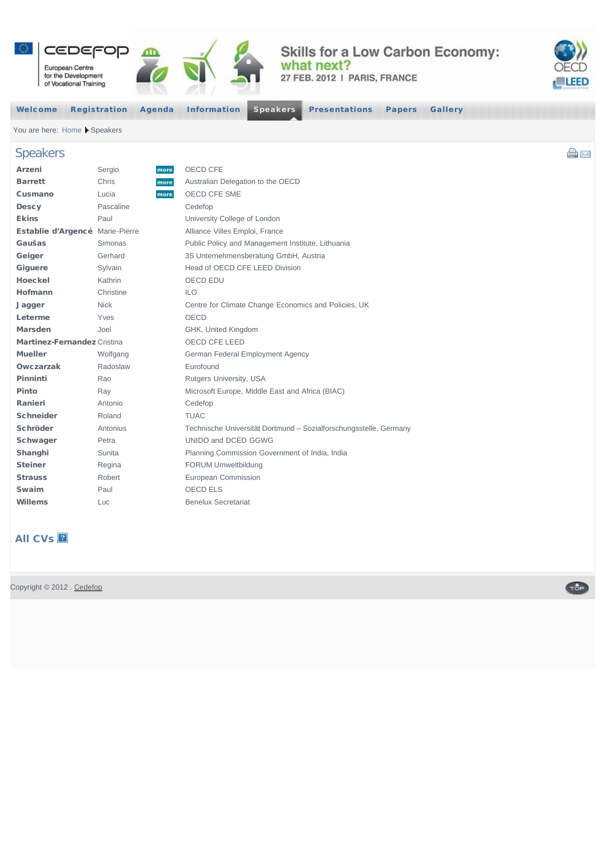<span id="page-0-0"></span>

## Skills for a Low Carbon Economy: what next?

27 FEB. 2012 | PARIS, FRANCE



a M

Geb

[Welcome](http://events.cedefop.europa.eu/GreenSkills-Forum2012/index.html) [Registration](http://events.cedefop.europa.eu/GreenSkills-Forum2012/registration.html) [Agenda](http://events.cedefop.europa.eu/GreenSkills-Forum2012/agenda-new.html) [Information](http://events.cedefop.europa.eu/GreenSkills-Forum2012/information.html) [Speakers](#page-0-0) [Presentations](http://events.cedefop.europa.eu/GreenSkills-Forum2012/presentations.html) [Papers](http://events.cedefop.europa.eu/GreenSkills-Forum2012/papers.html) [Gallery](http://events.cedefop.europa.eu/GreenSkills-Forum2012/gallery.html)

You are here: [Home](http://events.cedefop.europa.eu/GreenSkills-Forum2012/index.html) A Speakers

## Speakers

| Arzeni                             | Sergio      | more | OECD CFE                                                          |
|------------------------------------|-------------|------|-------------------------------------------------------------------|
| <b>Barrett</b>                     | Chris       | more | Australian Delegation to the OECD                                 |
| Cusmano                            | Lucia       | more | OECD CFE SME                                                      |
| <b>Descy</b>                       | Pascaline   |      | Cedefop                                                           |
| <b>Ekins</b>                       | Paul        |      | University College of London                                      |
| Establie d'Argencé Marie-Pierre    |             |      | Alliance Villes Emploi, France                                    |
| Gaušas                             | Simonas     |      | Public Policy and Management Institute, Lithuania                 |
| Geiger                             | Gerhard     |      | 3S Unternehmensberatung GmbH, Austria                             |
| Giguere                            | Sylvain     |      | Head of OECD CFE LEED Division                                    |
| Hoeckel                            | Kathrin     |      | OECD EDU                                                          |
| Hofmann                            | Christine   |      | <b>ILO</b>                                                        |
| Jagger                             | <b>Nick</b> |      | Centre for Climate Change Economics and Policies, UK              |
| Leterme                            | Yves        |      | <b>OECD</b>                                                       |
| <b>Marsden</b>                     | Joel        |      | GHK, United Kingdom                                               |
| <b>Martinez-Fernandez Cristina</b> |             |      | OECD CFE LEED                                                     |
| <b>Mueller</b>                     | Wolfgang    |      | German Federal Employment Agency                                  |
| Owczarzak                          | Radoslaw    |      | Eurofound                                                         |
| Pinninti                           | Rao         |      | Rutgers University, USA                                           |
| Pinto                              | Ray         |      | Microsoft Europe, Middle East and Africa (BIAC)                   |
| Ranieri                            | Antonio     |      | Cedefop                                                           |
| <b>Schneider</b>                   | Roland      |      | <b>TUAC</b>                                                       |
| Schröder                           | Antonius    |      | Technische Universität Dortmund - Sozialforschungsstelle, Germany |
| Schwager                           | Petra       |      | UNIDO and DCED GGWG                                               |
| Shanghi                            | Sunita      |      | Planning Commission Government of India, India                    |
| <b>Steiner</b>                     | Regina      |      | FORUM Umweltbildung                                               |
| <b>Strauss</b>                     | Robert      |      | European Commission                                               |
| Swaim                              | Paul        |      | OECD ELS                                                          |
| Willems                            | Luc         |      | <b>Benelux Secretariat</b>                                        |

## **All CVs**

Copyright © 2012 . [Cedefop](http://www.cedefop.europa.eu/)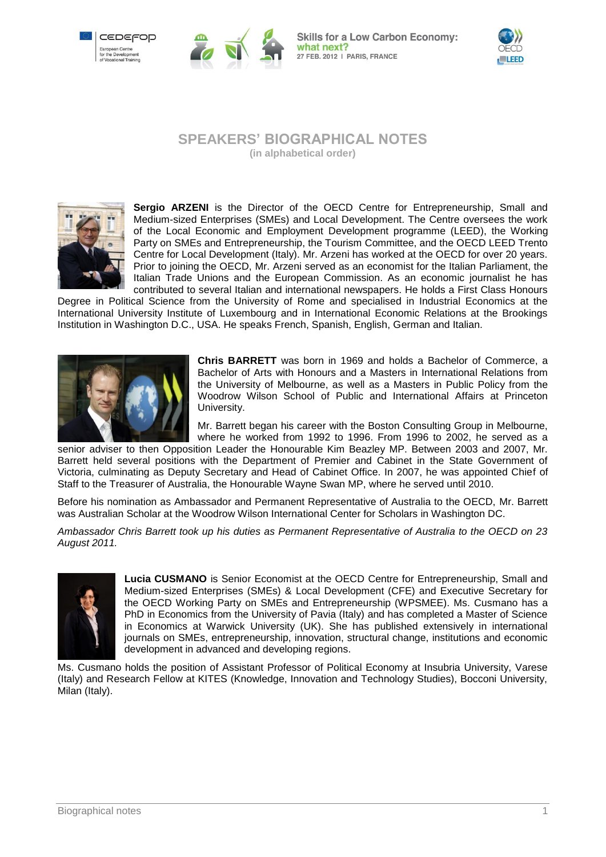



**Skills for a Low Carbon Economy:** what next? 27 FEB. 2012 | PARIS, FRANCE



## **SPEAKERS' BIOGRAPHICAL NOTES (in alphabetical order)**



**Sergio ARZENI** is the Director of the OECD Centre for Entrepreneurship, Small and Medium-sized Enterprises (SMEs) and Local Development. The Centre oversees the work of the Local Economic and Employment Development programme (LEED), the Working Party on SMEs and Entrepreneurship, the Tourism Committee, and the OECD LEED Trento Centre for Local Development (Italy). Mr. Arzeni has worked at the OECD for over 20 years. Prior to joining the OECD, Mr. Arzeni served as an economist for the Italian Parliament, the Italian Trade Unions and the European Commission. As an economic journalist he has contributed to several Italian and international newspapers. He holds a First Class Honours

Degree in Political Science from the University of Rome and specialised in Industrial Economics at the International University Institute of Luxembourg and in International Economic Relations at the Brookings Institution in Washington D.C., USA. He speaks French, Spanish, English, German and Italian.



**Chris BARRETT** was born in 1969 and holds a Bachelor of Commerce, a Bachelor of Arts with Honours and a Masters in International Relations from the University of Melbourne, as well as a Masters in Public Policy from the Woodrow Wilson School of Public and International Affairs at Princeton University.

Mr. Barrett began his career with the Boston Consulting Group in Melbourne, where he worked from 1992 to 1996. From 1996 to 2002, he served as a

senior adviser to then Opposition Leader the Honourable Kim Beazley MP. Between 2003 and 2007, Mr. Barrett held several positions with the Department of Premier and Cabinet in the State Government of Victoria, culminating as Deputy Secretary and Head of Cabinet Office. In 2007, he was appointed Chief of Staff to the Treasurer of Australia, the Honourable Wayne Swan MP, where he served until 2010.

Before his nomination as Ambassador and Permanent Representative of Australia to the OECD, Mr. Barrett was Australian Scholar at the Woodrow Wilson International Center for Scholars in Washington DC.

*Ambassador Chris Barrett took up his duties as Permanent Representative of Australia to the OECD on 23 August 2011.*



**Lucia CUSMANO** is Senior Economist at the OECD Centre for Entrepreneurship, Small and Medium-sized Enterprises (SMEs) & Local Development (CFE) and Executive Secretary for the OECD Working Party on SMEs and Entrepreneurship (WPSMEE). Ms. Cusmano has a PhD in Economics from the University of Pavia (Italy) and has completed a Master of Science in Economics at Warwick University (UK). She has published extensively in international journals on SMEs, entrepreneurship, innovation, structural change, institutions and economic development in advanced and developing regions.

Ms. Cusmano holds the position of Assistant Professor of Political Economy at Insubria University, Varese (Italy) and Research Fellow at KITES (Knowledge, Innovation and Technology Studies), Bocconi University, Milan (Italy).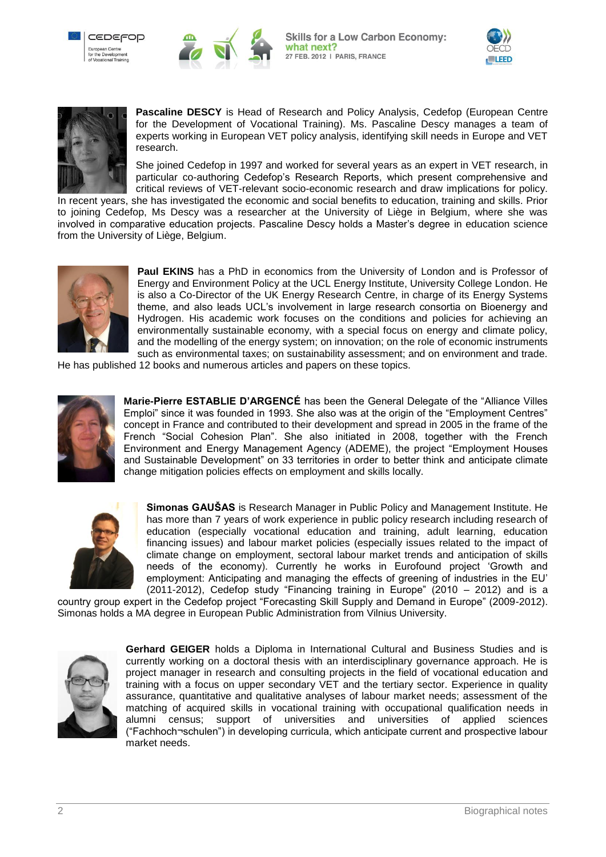







**Pascaline DESCY** is Head of Research and Policy Analysis, Cedefop (European Centre for the Development of Vocational Training). Ms. Pascaline Descy manages a team of experts working in European VET policy analysis, identifying skill needs in Europe and VET research.

She joined Cedefop in 1997 and worked for several years as an expert in VET research, in particular co-authoring Cedefop"s Research Reports, which present comprehensive and critical reviews of VET-relevant socio-economic research and draw implications for policy.

In recent years, she has investigated the economic and social benefits to education, training and skills. Prior to joining Cedefop, Ms Descy was a researcher at the University of Liège in Belgium, where she was involved in comparative education projects. Pascaline Descy holds a Master's degree in education science from the University of Liège, Belgium.



**Paul EKINS** has a PhD in economics from the University of London and is Professor of Energy and Environment Policy at the UCL Energy Institute, University College London. He is also a Co-Director of the UK Energy Research Centre, in charge of its Energy Systems theme, and also leads UCL"s involvement in large research consortia on Bioenergy and Hydrogen. His academic work focuses on the conditions and policies for achieving an environmentally sustainable economy, with a special focus on energy and climate policy, and the modelling of the energy system; on innovation; on the role of economic instruments such as environmental taxes; on sustainability assessment; and on environment and trade.

He has published 12 books and numerous articles and papers on these topics.



**Marie-Pierre ESTABLIE D'ARGENCÉ** has been the General Delegate of the "Alliance Villes Emploi" since it was founded in 1993. She also was at the origin of the "Employment Centres" concept in France and contributed to their development and spread in 2005 in the frame of the French "Social Cohesion Plan". She also initiated in 2008, together with the French Environment and Energy Management Agency (ADEME), the project "Employment Houses and Sustainable Development" on 33 territories in order to better think and anticipate climate change mitigation policies effects on employment and skills locally.



**Simonas GAUŠAS** is Research Manager in Public Policy and Management Institute. He has more than 7 years of work experience in public policy research including research of education (especially vocational education and training, adult learning, education financing issues) and labour market policies (especially issues related to the impact of climate change on employment, sectoral labour market trends and anticipation of skills needs of the economy). Currently he works in Eurofound project "Growth and employment: Anticipating and managing the effects of greening of industries in the EU" (2011-2012), Cedefop study "Financing training in Europe" (2010 – 2012) and is a

country group expert in the Cedefop project "Forecasting Skill Supply and Demand in Europe" (2009-2012). Simonas holds a MA degree in European Public Administration from Vilnius University.



**Gerhard GEIGER** holds a Diploma in International Cultural and Business Studies and is currently working on a doctoral thesis with an interdisciplinary governance approach. He is project manager in research and consulting projects in the field of vocational education and training with a focus on upper secondary VET and the tertiary sector. Experience in quality assurance, quantitative and qualitative analyses of labour market needs; assessment of the matching of acquired skills in vocational training with occupational qualification needs in alumni census; support of universities and universities of applied sciences ("Fachhoch¬schulen") in developing curricula, which anticipate current and prospective labour market needs.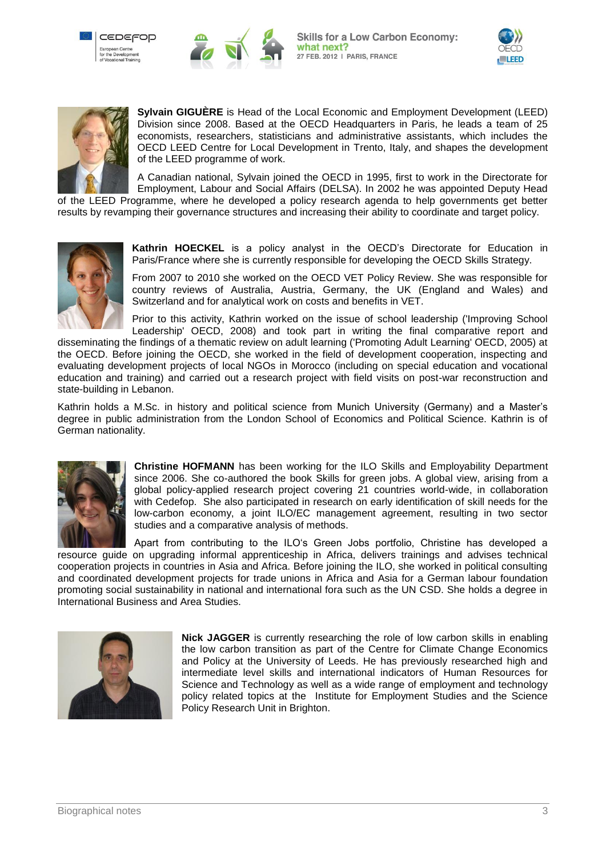







**Sylvain GIGUÈRE** is Head of the Local Economic and Employment Development (LEED) Division since 2008. Based at the OECD Headquarters in Paris, he leads a team of 25 economists, researchers, statisticians and administrative assistants, which includes the OECD LEED Centre for Local Development in Trento, Italy, and shapes the development of the LEED programme of work.

A Canadian national, Sylvain joined the OECD in 1995, first to work in the Directorate for Employment, Labour and Social Affairs (DELSA). In 2002 he was appointed Deputy Head

of the LEED Programme, where he developed a policy research agenda to help governments get better results by revamping their governance structures and increasing their ability to coordinate and target policy.



**Kathrin HOECKEL** is a policy analyst in the OECD"s Directorate for Education in Paris/France where she is currently responsible for developing the OECD Skills Strategy.

From 2007 to 2010 she worked on the OECD VET Policy Review. She was responsible for country reviews of Australia, Austria, Germany, the UK (England and Wales) and Switzerland and for analytical work on costs and benefits in VET.

Prior to this activity, Kathrin worked on the issue of school leadership ('Improving School Leadership' OECD, 2008) and took part in writing the final comparative report and

disseminating the findings of a thematic review on adult learning ('Promoting Adult Learning' OECD, 2005) at the OECD. Before joining the OECD, she worked in the field of development cooperation, inspecting and evaluating development projects of local NGOs in Morocco (including on special education and vocational education and training) and carried out a research project with field visits on post-war reconstruction and state-building in Lebanon.

Kathrin holds a M.Sc. in history and political science from Munich University (Germany) and a Master"s degree in public administration from the London School of Economics and Political Science. Kathrin is of German nationality.



**Christine HOFMANN** has been working for the ILO Skills and Employability Department since 2006. She co-authored the book Skills for green jobs. A global view, arising from a global policy-applied research project covering 21 countries world-wide, in collaboration with Cedefop. She also participated in research on early identification of skill needs for the low-carbon economy, a joint ILO/EC management agreement, resulting in two sector studies and a comparative analysis of methods.

Apart from contributing to the ILO"s Green Jobs portfolio, Christine has developed a resource guide on upgrading informal apprenticeship in Africa, delivers trainings and advises technical cooperation projects in countries in Asia and Africa. Before joining the ILO, she worked in political consulting and coordinated development projects for trade unions in Africa and Asia for a German labour foundation promoting social sustainability in national and international fora such as the UN CSD. She holds a degree in International Business and Area Studies.



**Nick JAGGER** is currently researching the role of low carbon skills in enabling the low carbon transition as part of the Centre for Climate Change Economics and Policy at the University of Leeds. He has previously researched high and intermediate level skills and international indicators of Human Resources for Science and Technology as well as a wide range of employment and technology policy related topics at the Institute for Employment Studies and the Science Policy Research Unit in Brighton.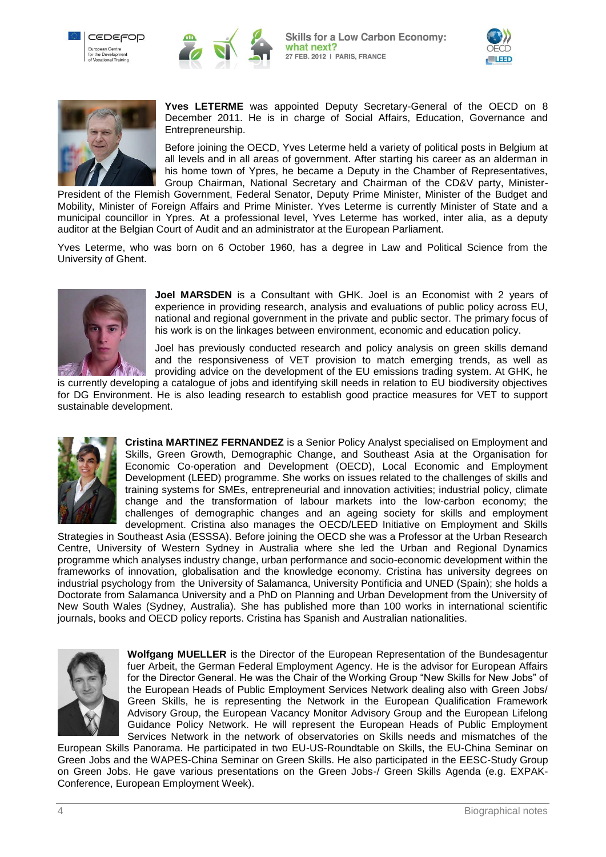



**Skills for a Low Carbon Economy:** what next? 27 FEB. 2012 | PARIS, FRANCE





**Yves LETERME** was appointed Deputy Secretary-General of the OECD on 8 December 2011. He is in charge of Social Affairs, Education, Governance and Entrepreneurship.

Before joining the OECD, Yves Leterme held a variety of political posts in Belgium at all levels and in all areas of government. After starting his career as an alderman in his home town of Ypres, he became a Deputy in the Chamber of Representatives, Group Chairman, National Secretary and Chairman of the CD&V party, Minister-

President of the Flemish Government, Federal Senator, Deputy Prime Minister, Minister of the Budget and Mobility, Minister of Foreign Affairs and Prime Minister. Yves Leterme is currently Minister of State and a municipal councillor in Ypres. At a professional level, Yves Leterme has worked, inter alia, as a deputy auditor at the Belgian Court of Audit and an administrator at the European Parliament.

Yves Leterme, who was born on 6 October 1960, has a degree in Law and Political Science from the University of Ghent.



**Joel MARSDEN** is a Consultant with GHK. Joel is an Economist with 2 years of experience in providing research, analysis and evaluations of public policy across EU, national and regional government in the private and public sector. The primary focus of his work is on the linkages between environment, economic and education policy.

Joel has previously conducted research and policy analysis on green skills demand and the responsiveness of VET provision to match emerging trends, as well as providing advice on the development of the EU emissions trading system. At GHK, he

is currently developing a catalogue of jobs and identifying skill needs in relation to EU biodiversity objectives for DG Environment. He is also leading research to establish good practice measures for VET to support sustainable development.



**Cristina MARTINEZ FERNANDEZ** is a Senior Policy Analyst specialised on Employment and Skills, Green Growth, Demographic Change, and Southeast Asia at the Organisation for Economic Co-operation and Development (OECD), Local Economic and Employment Development (LEED) programme. She works on issues related to the challenges of skills and training systems for SMEs, entrepreneurial and innovation activities; industrial policy, climate change and the transformation of labour markets into the low-carbon economy; the challenges of demographic changes and an ageing society for skills and employment development. Cristina also manages the OECD/LEED Initiative on Employment and Skills

Strategies in Southeast Asia (ESSSA). Before joining the OECD she was a Professor at the Urban Research Centre, University of Western Sydney in Australia where she led the Urban and Regional Dynamics programme which analyses industry change, urban performance and socio-economic development within the frameworks of innovation, globalisation and the knowledge economy. Cristina has university degrees on industrial psychology from the University of Salamanca, University Pontificia and UNED (Spain); she holds a Doctorate from Salamanca University and a PhD on Planning and Urban Development from the University of New South Wales (Sydney, Australia). She has published more than 100 works in international scientific journals, books and OECD policy reports. Cristina has Spanish and Australian nationalities.



**Wolfgang MUELLER** is the Director of the European Representation of the Bundesagentur fuer Arbeit, the German Federal Employment Agency. He is the advisor for European Affairs for the Director General. He was the Chair of the Working Group "New Skills for New Jobs" of the European Heads of Public Employment Services Network dealing also with Green Jobs/ Green Skills, he is representing the Network in the European Qualification Framework Advisory Group, the European Vacancy Monitor Advisory Group and the European Lifelong Guidance Policy Network. He will represent the European Heads of Public Employment Services Network in the network of observatories on Skills needs and mismatches of the

European Skills Panorama. He participated in two EU-US-Roundtable on Skills, the EU-China Seminar on Green Jobs and the WAPES-China Seminar on Green Skills. He also participated in the EESC-Study Group on Green Jobs. He gave various presentations on the Green Jobs-/ Green Skills Agenda (e.g. EXPAK-Conference, European Employment Week).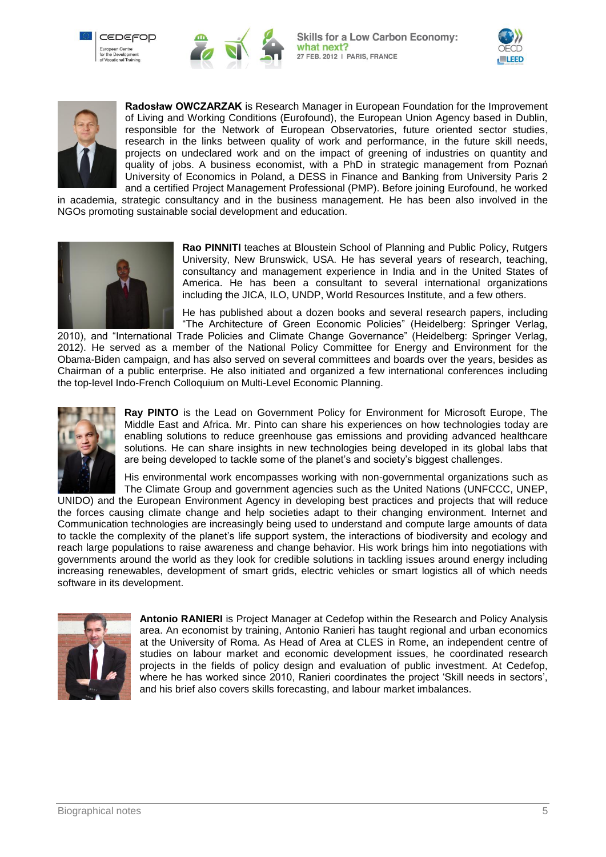







**Radosław OWCZARZAK** is Research Manager in European Foundation for the Improvement of Living and Working Conditions (Eurofound), the European Union Agency based in Dublin, responsible for the Network of European Observatories, future oriented sector studies, research in the links between quality of work and performance, in the future skill needs, projects on undeclared work and on the impact of greening of industries on quantity and quality of jobs. A business economist, with a PhD in strategic management from Poznań University of Economics in Poland, a DESS in Finance and Banking from University Paris 2 and a certified Project Management Professional (PMP). Before joining Eurofound, he worked

in academia, strategic consultancy and in the business management. He has been also involved in the NGOs promoting sustainable social development and education.



**Rao PINNITI** teaches at Bloustein School of Planning and Public Policy, Rutgers University, New Brunswick, USA. He has several years of research, teaching, consultancy and management experience in India and in the United States of America. He has been a consultant to several international organizations including the JICA, ILO, UNDP, World Resources Institute, and a few others.

He has published about a dozen books and several research papers, including "The Architecture of Green Economic Policies" (Heidelberg: Springer Verlag,

2010), and "International Trade Policies and Climate Change Governance" (Heidelberg: Springer Verlag, 2012). He served as a member of the National Policy Committee for Energy and Environment for the Obama-Biden campaign, and has also served on several committees and boards over the years, besides as Chairman of a public enterprise. He also initiated and organized a few international conferences including the top-level Indo-French Colloquium on Multi-Level Economic Planning.



**Ray PINTO** is the Lead on Government Policy for Environment for Microsoft Europe, The Middle East and Africa. Mr. Pinto can share his experiences on how technologies today are enabling solutions to reduce greenhouse gas emissions and providing advanced healthcare solutions. He can share insights in new technologies being developed in its global labs that are being developed to tackle some of the planet"s and society"s biggest challenges.

His environmental work encompasses working with non-governmental organizations such as The Climate Group and government agencies such as the United Nations (UNFCCC, UNEP,

UNIDO) and the European Environment Agency in developing best practices and projects that will reduce the forces causing climate change and help societies adapt to their changing environment. Internet and Communication technologies are increasingly being used to understand and compute large amounts of data to tackle the complexity of the planet"s life support system, the interactions of biodiversity and ecology and reach large populations to raise awareness and change behavior. His work brings him into negotiations with governments around the world as they look for credible solutions in tackling issues around energy including increasing renewables, development of smart grids, electric vehicles or smart logistics all of which needs software in its development.



**Antonio RANIERI** is Project Manager at Cedefop within the Research and Policy Analysis area. An economist by training, Antonio Ranieri has taught regional and urban economics at the University of Roma. As Head of Area at CLES in Rome, an independent centre of studies on labour market and economic development issues, he coordinated research projects in the fields of policy design and evaluation of public investment. At Cedefop, where he has worked since 2010, Ranieri coordinates the project 'Skill needs in sectors', and his brief also covers skills forecasting, and labour market imbalances.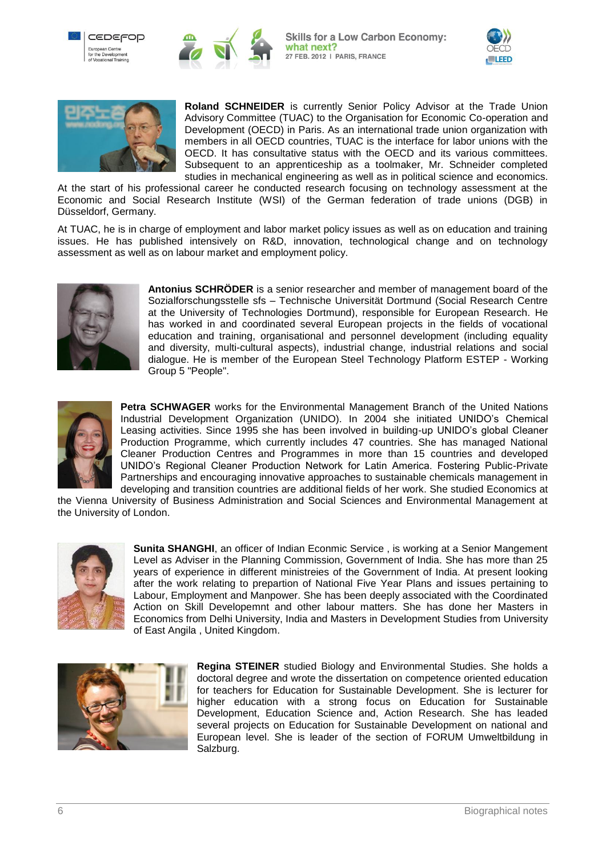







**Roland SCHNEIDER** is currently Senior Policy Advisor at the Trade Union Advisory Committee (TUAC) to the Organisation for Economic Co-operation and Development (OECD) in Paris. As an international trade union organization with members in all OECD countries, TUAC is the interface for labor unions with the OECD. It has consultative status with the OECD and its various committees. Subsequent to an apprenticeship as a toolmaker, Mr. Schneider completed studies in mechanical engineering as well as in political science and economics.

At the start of his professional career he conducted research focusing on technology assessment at the Economic and Social Research Institute (WSI) of the German federation of trade unions (DGB) in Düsseldorf, Germany.

At TUAC, he is in charge of employment and labor market policy issues as well as on education and training issues. He has published intensively on R&D, innovation, technological change and on technology assessment as well as on labour market and employment policy.



**Antonius SCHRÖDER** is a senior researcher and member of management board of the Sozialforschungsstelle sfs – Technische Universität Dortmund (Social Research Centre at the University of Technologies Dortmund), responsible for European Research. He has worked in and coordinated several European projects in the fields of vocational education and training, organisational and personnel development (including equality and diversity, multi-cultural aspects), industrial change, industrial relations and social dialogue. He is member of the European Steel Technology Platform ESTEP - Working Group 5 "People".



**Petra SCHWAGER** works for the Environmental Management Branch of the United Nations Industrial Development Organization (UNIDO). In 2004 she initiated UNIDO"s Chemical Leasing activities. Since 1995 she has been involved in building-up UNIDO"s global Cleaner Production Programme, which currently includes 47 countries. She has managed National Cleaner Production Centres and Programmes in more than 15 countries and developed UNIDO"s Regional Cleaner Production Network for Latin America. Fostering Public-Private Partnerships and encouraging innovative approaches to sustainable chemicals management in developing and transition countries are additional fields of her work. She studied Economics at

the Vienna University of Business Administration and Social Sciences and Environmental Management at the University of London.



**Sunita SHANGHI**, an officer of Indian Econmic Service , is working at a Senior Mangement Level as Adviser in the Planning Commission, Government of India. She has more than 25 years of experience in different ministreies of the Government of India. At present looking after the work relating to prepartion of National Five Year Plans and issues pertaining to Labour, Employment and Manpower. She has been deeply associated with the Coordinated Action on Skill Developemnt and other labour matters. She has done her Masters in Economics from Delhi University, India and Masters in Development Studies from University of East Angila , United Kingdom.



**Regina STEINER** studied Biology and Environmental Studies. She holds a doctoral degree and wrote the dissertation on competence oriented education for teachers for Education for Sustainable Development. She is lecturer for higher education with a strong focus on Education for Sustainable Development, Education Science and, Action Research. She has leaded several projects on Education for Sustainable Development on national and European level. She is leader of the section of FORUM Umweltbildung in Salzburg.